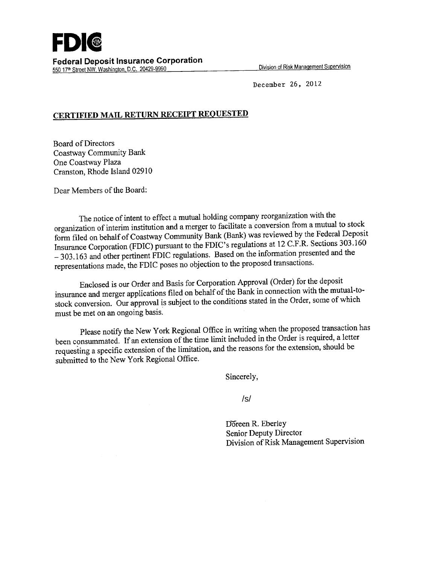

550 17th Street NW, Washington, D.C. 20429-9990

December 26, 2012

## **CERTIFIED MAIL RETURN RECEIPT REQUESTED**

Board of Directors Coastway Community Bank One Coastway Plaza Cranston, Rhode Island 02910

Dear Members of the Board:

The notice of intent to effect a mutual holding company reorganization with the organization of interim institution and a merger to facilitate a conversion from a mutual to stock form filed on behalf of Coastway Community Bank (Bank) was reviewed by the Federal Deposit Insurance Corporation (FDIC) pursuant to the FDIC's regulations at 12 C.F.R. Sections 303.160 - 303.163 and other pertinent FDIC regulations. Based on the information presented and the representations made, the FDIC poses no objection to the proposed transactions.

Enclosed is our Order and Basis for Corporation Approval (Order) for the deposit insurance and merger applications filed on behalf of the Bank in connection with the mutual-tostock conversion. Our approval is subject to the conditions stated in the Order, some of which must be met on an ongoing basis.

Please notify the New York Regional Office in writing when the proposed transaction has been consummated. If an extension of the time limit included in the Order is required, a letter requesting a specific extension of the limitation, and the reasons for the extension, should be submitted to the New York Regional Office.

Sincerely,

/s/

Doreen R. Eberley Senior Deputy Director Division of Risk Management Supervision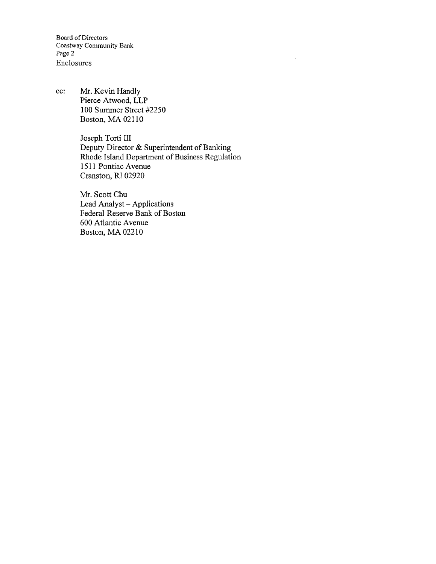Board of Directors Coastway Community Bank Page 2 Enclosures

cc: Mr. Kevin Handly Pierce Atwood, LLP 100 Summer Street 42250 Boston, MA 02110

> Joseph Torti III Deputy Director & Superintendent of Banking Rhode Island Department of Business Regulation 1511 Pontiac Avenue Cranston, RI 02920

Mr. Scott Chu Lead Analyst - Applications Federal Reserve Bank of Boston 600 Atlantic Avenue Boston, MA 02210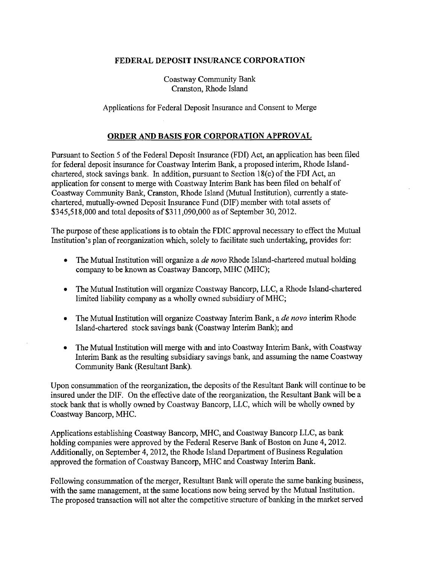## **FEDERAL DEPOSIT INSURANCE CORPORATION**

Coastway Community Bank Cranston, Rhode Island

Applications for Federal Deposit Insurance and Consent to Merge

## **ORDER AND BASIS FOR CORPORATION APPROVAL**

Pursuant to Section *5* of the Federal Deposit Insurance (FDI) Act, an application has been filed for federal deposit insurance for Coastway Interim Bank, a proposed interim, Rhode Islandchartered, stock savings bank. In addition, pursuant to Section 18(c) of the FDI Act, an application for consent to merge with Coastway Interim Bank has been filed on behalf of Coastway Community Bank, Cranston, Rhode Island (Mutual Institution), currently a statechartered, mutually-owned Deposit Insurance Fund (DIF) member with total assets of \$345,518,000 and total deposits of \$311,090,000 as of September 30, 2012.

The purpose of these applications is to obtain the FDIC approval necessary to effect the Mutual Institution's plan of reorganization which, solely to facilitate such undertaking, provides for:

- The Mutual Institution will organize a *de novo* Rhode Island-chartered mutual holding company to be known as Coastway Bancorp, MHC (MHC);
- The Mutual Institution will organize Coastway Bancorp, LLC, a Rhode Island-chartered limited liability company as a wholly owned subsidiary of MHC;
- The Mutual Institution will organize Coastway Interim Bank, a *de novo* interim Rhode Island-chartered stock savings bank (Coastway Interim Bank); and
- The Mutual Institution will merge with and into Coastway Interim Bank, with Coastway Interim Bank as the resulting subsidiary savings bank, and assuming the name Coastway Community Bank (Resultant Bank).

Upon consummation of the reorganization, the deposits of the Resultant Bank will continue to be insured under the DIF. On the effective date of the reorganization, the Resultant Bank will be a stock bank that is wholly owned by Coastway Bancorp, LLC, which will be wholly owned by Coastway Bancorp, MHC.

Applications establishing Coastway Bancorp, MHC, and Coastway Bancorp LLC, as bank holding companies were approved by the Federal Reserve Bank of Boston on June 4, 2012. Additionally, on September 4, 2012, the Rhode Island Department of Business Regulation approved the formation of Coastway Bancorp, MHC and Coastway Interim Bank.

Following consummation of the merger, Resultant Bank will operate the same banking business, with the same management, at the same locations now being served by the Mutual Institution. The proposed transaction will not alter the competitive structure of banking in the market served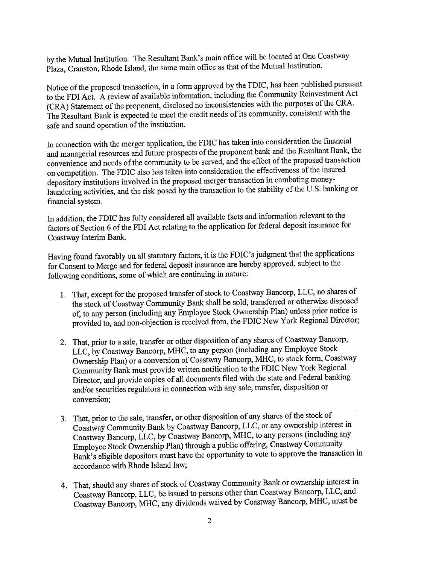by the Mutual Institution. The Resultant Bank's main office will be located at One Coastway Plaza, Cranston, Rhode Island, the same main office as that of the Mutual Institution.

Notice of the proposed transaction, in a form approved by the FDIC, has been published pursuant to the FDI Act. A review of available information, including the Community Reinvestment Act (CRA) Statement of the proponent, disclosed no inconsistencies with the purposes of the CRA. The Resultant Bank is expected to meet the credit needs of its community, consistent with the safe and sound operation of the institution.

In connection with the merger application, the FDIC has taken into consideration the financial and managerial resources and future prospects of the proponent bank and the Resultant Bank, the convenience and needs of the community to be served, and the effect of the proposed transaction on competition. The FDIC also has taken into consideration the effectiveness of the insured depository institutions involved in the proposed merger transaction in combating moneylaundering activities, and the risk posed by the transaction to the stability of the U.S. banking or financial system.

In addition, the FDIC has fully considered all available facts and information relevant to the factors of Section 6 of the FDI Act relating to the application for federal deposit insurance for Coastway Interim Bank.

Having found favorably on all statutory factors, it is the FDIC's judgment that the applications for Consent to Merge and for federal deposit insurance are hereby approved, subject to the following conditions, some of which are continuing in nature:

- 1. That, except for the proposed transfer of stock to Coastway Bancorp, LLC, no shares of the stock of Coastway Community Bank shall be sold, transferred or otherwise disposed of, to any person (including any Employee Stock Ownership Plan) unless prior notice is provided to, and non-objection is received from, the FDIC New York Regional Director;
- 2. That, prior to a sale, transfer or other disposition of any shares of Coastway Bancorp, LLC, by Coastway Bancorp, MHC, to any person (including any Employee Stock Ownership Plan) or a conversion of Coastway Bancorp, MEC, to stock form, Coastway Community Bank must provide written notification to the FDIC New York Regional Director, and provide copies of all documents filed with the state and Federal banking and/or securities regulators in connection with any sale, transfer, disposition or conversion;
- 3. That, prior to the sale, transfer, or other disposition of any shares of the stock of Coastway Community Bank by Coastway Bancorp, LLC, or any ownership interest in Coastway Bancorp, LLC, by Coastway Bancorp, MHC, to any persons (including any Employee Stock Ownership Plan) through a public offering, Coastway Community Bank's eligible depositors must have the opportunity to vote to approve the transaction in accordance with Rhode Island law;
- 4. That, should any shares of stock of Coastway Community Bank or ownership interest in Coastway Bancorp, LLC, be issued to persons other than Coastway Bancorp, LLC, and Coastway Bancorp, MHC, any dividends waived by Coastway Bancorp, MHC, must be